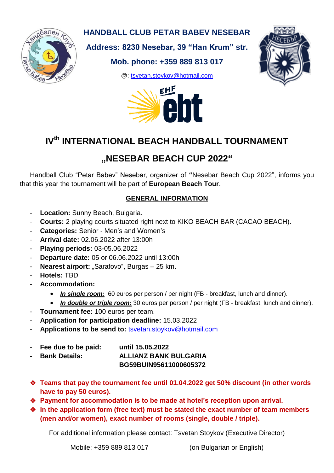

### **HANDBALL CLUB PETAR BABEV NESEBAR**

**Address: 8230 Nesebar, 39 "Han Krum" str.**

## **Mob. phone: +359 889 813 017**

@: [tsvetan.stoykov@hotmail.com](mailto:tsvetan.stoykov@hotmail.com)





# **IVth INTERNATIONAL BEACH HANDBALL TOURNAMENT**

## **"NESEBAR BEACH CUP 2022"**

Handball Club "Petar Babev" Nesebar, organizer of **"**Nesebar Beach Cup 2022", informs you that this year the tournament will be part of **European Beach Tour**.

#### **GENERAL INFORMATION**

- **Location:** Sunny Beach, Bulgaria.
- **Courts:** 2 playing courts situated right next to KIKO BEACH BAR (CACAO BEACH).
- **Categories:** Senior Men's and Women's
- **Arrival date:** 02.06.2022 after 13:00h
- **Playing periods:** 03-05.06.2022
- **Departure date:** 05 or 06.06.2022 until 13:00h
- Nearest airport: "Sarafovo", Burgas 25 km.
- **Hotels:** TBD
- **Accommodation:**
	- *In single room:* 60 euros per person / per night (FB breakfast, lunch and dinner).
	- In **double or triple room:** 30 euros per person / per night (FB breakfast, lunch and dinner).
- **Tournament fee: 100 euros per team.**
- **Application for participation deadline:** 15.03.2022
- **Applications to be send to:** [tsvetan.stoykov@hotmail.com](mailto:tsvetan.stoykov@hotmail.com)
- **Fee due to be paid: until 15.05.2022**
- **Bank Details: ALLIANZ BANK BULGARIA**
	- **BG59BUIN95611000605372**
- **Teams that pay the tournament fee until 01.04.2022 get 50% discount (in other words have to pay 50 euros).**
- **Payment for accommodation is to be made at hotel's reception upon arrival.**
- **In the application form (free text) must be stated the exact number of team members (men and/or women), exact number of rooms (single, double / triple).**

For additional information please contact: Tsvetan Stoykov (Executive Director)